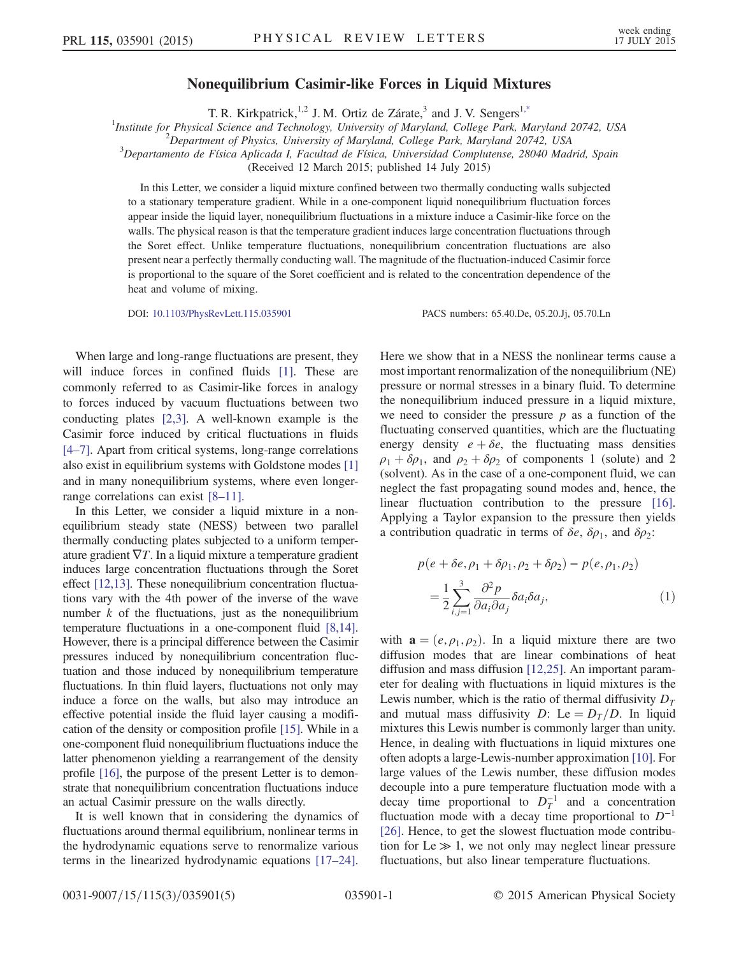## Nonequilibrium Casimir-like Forces in Liquid Mixtures

T. R. Kirkpatrick,<sup>1,2</sup> J. M. Ortiz de Zárate,<sup>3</sup> and J. V. Sengers<sup>[1,\\*](#page-3-0)</sup>

<span id="page-0-1"></span><sup>1</sup>Institute for Physical Science and Technology, University of Maryland, College Park, Maryland 20742, USA <sup>2</sup><br><sup>2</sup> Department of Physica University of Maryland, College Park, Maryland 20742, USA

 $^{2}$ Department of Physics, University of Maryland, College Park, Maryland 20742, USA

 ${}^{3}$ Departamento de Física Aplicada I, Facultad de Física, Universidad Complutense, 28040 Madrid, Spain

(Received 12 March 2015; published 14 July 2015)

In this Letter, we consider a liquid mixture confined between two thermally conducting walls subjected to a stationary temperature gradient. While in a one-component liquid nonequilibrium fluctuation forces appear inside the liquid layer, nonequilibrium fluctuations in a mixture induce a Casimir-like force on the walls. The physical reason is that the temperature gradient induces large concentration fluctuations through the Soret effect. Unlike temperature fluctuations, nonequilibrium concentration fluctuations are also present near a perfectly thermally conducting wall. The magnitude of the fluctuation-induced Casimir force is proportional to the square of the Soret coefficient and is related to the concentration dependence of the heat and volume of mixing.

DOI: [10.1103/PhysRevLett.115.035901](http://dx.doi.org/10.1103/PhysRevLett.115.035901) PACS numbers: 65.40.De, 05.20.Jj, 05.70.Ln

When large and long-range fluctuations are present, they will induce forces in confined fluids [\[1\]](#page-3-1). These are commonly referred to as Casimir-like forces in analogy to forces induced by vacuum fluctuations between two conducting plates [\[2,3\]](#page-3-2). A well-known example is the Casimir force induced by critical fluctuations in fluids [\[4](#page-3-3)–7]. Apart from critical systems, long-range correlations also exist in equilibrium systems with Goldstone modes [\[1\]](#page-3-1) and in many nonequilibrium systems, where even longerrange correlations can exist [8–[11\]](#page-3-4).

In this Letter, we consider a liquid mixture in a nonequilibrium steady state (NESS) between two parallel thermally conducting plates subjected to a uniform temperature gradient  $\nabla T$ . In a liquid mixture a temperature gradient induces large concentration fluctuations through the Soret effect [\[12,13\].](#page-3-5) These nonequilibrium concentration fluctuations vary with the 4th power of the inverse of the wave number  $k$  of the fluctuations, just as the nonequilibrium temperature fluctuations in a one-component fluid [\[8,14\]](#page-3-4). However, there is a principal difference between the Casimir pressures induced by nonequilibrium concentration fluctuation and those induced by nonequilibrium temperature fluctuations. In thin fluid layers, fluctuations not only may induce a force on the walls, but also may introduce an effective potential inside the fluid layer causing a modification of the density or composition profile [\[15\].](#page-3-6) While in a one-component fluid nonequilibrium fluctuations induce the latter phenomenon yielding a rearrangement of the density profile [\[16\],](#page-3-7) the purpose of the present Letter is to demonstrate that nonequilibrium concentration fluctuations induce an actual Casimir pressure on the walls directly.

It is well known that in considering the dynamics of fluctuations around thermal equilibrium, nonlinear terms in the hydrodynamic equations serve to renormalize various terms in the linearized hydrodynamic equations [\[17](#page-3-8)–24]. Here we show that in a NESS the nonlinear terms cause a most important renormalization of the nonequilibrium (NE) pressure or normal stresses in a binary fluid. To determine the nonequilibrium induced pressure in a liquid mixture, we need to consider the pressure  $p$  as a function of the fluctuating conserved quantities, which are the fluctuating energy density  $e + \delta e$ , the fluctuating mass densities  $\rho_1 + \delta \rho_1$ , and  $\rho_2 + \delta \rho_2$  of components 1 (solute) and 2 (solvent). As in the case of a one-component fluid, we can neglect the fast propagating sound modes and, hence, the linear fluctuation contribution to the pressure [\[16\]](#page-3-7). Applying a Taylor expansion to the pressure then yields a contribution quadratic in terms of  $\delta e$ ,  $\delta \rho_1$ , and  $\delta \rho_2$ :

<span id="page-0-0"></span>
$$
p(e + \delta e, \rho_1 + \delta \rho_1, \rho_2 + \delta \rho_2) - p(e, \rho_1, \rho_2)
$$
  
= 
$$
\frac{1}{2} \sum_{i,j=1}^3 \frac{\partial^2 p}{\partial a_i \partial a_j} \delta a_i \delta a_j,
$$
 (1)

with  $\mathbf{a} = (e, \rho_1, \rho_2)$ . In a liquid mixture there are two diffusion modes that are linear combinations of heat diffusion and mass diffusion [\[12,25\].](#page-3-5) An important parameter for dealing with fluctuations in liquid mixtures is the Lewis number, which is the ratio of thermal diffusivity  $D<sub>T</sub>$ and mutual mass diffusivity D: Le =  $D_T/D$ . In liquid mixtures this Lewis number is commonly larger than unity. Hence, in dealing with fluctuations in liquid mixtures one often adopts a large-Lewis-number approximation [\[10\].](#page-3-9) For large values of the Lewis number, these diffusion modes decouple into a pure temperature fluctuation mode with a decay time proportional to  $D_T^{-1}$  and a concentration fluctuation mode with a decay time proportional to  $D^{-1}$ [\[26\]](#page-3-10). Hence, to get the slowest fluctuation mode contribution for Le  $\gg$  1, we not only may neglect linear pressure fluctuations, but also linear temperature fluctuations.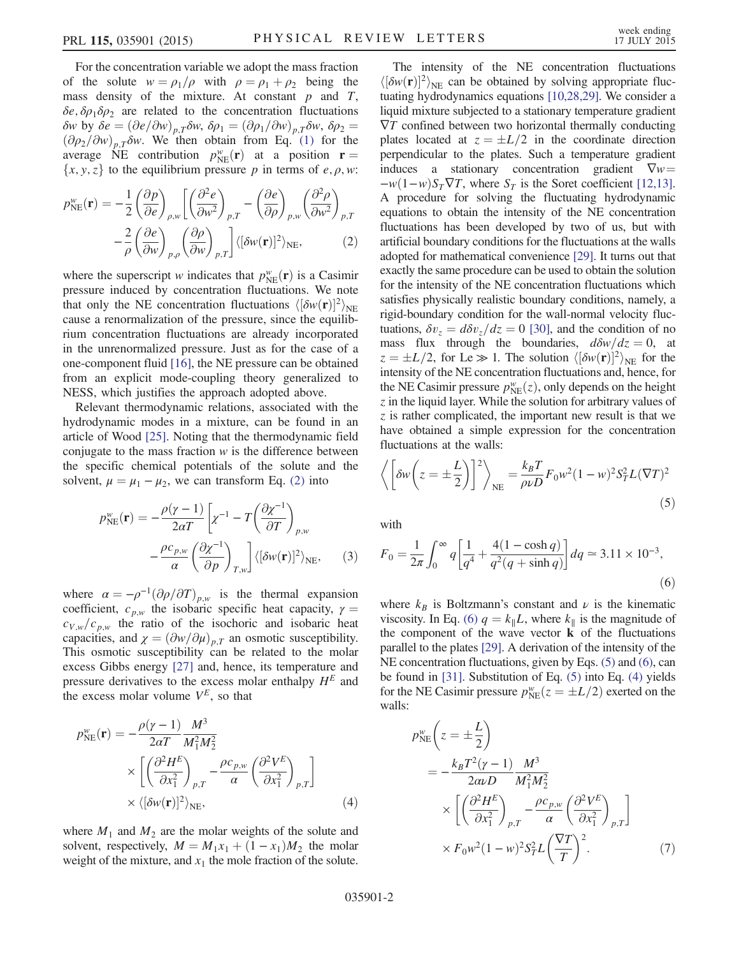For the concentration variable we adopt the mass fraction of the solute  $w = \rho_1/\rho$  with  $\rho = \rho_1 + \rho_2$  being the mass density of the mixture. At constant  $p$  and  $T$ ,  $\delta e$ ,  $\delta \rho_1 \delta \rho_2$  are related to the concentration fluctuations δw by δe =  $(\partial e/\partial w)_{nT}$ δw, δρ<sub>1</sub> =  $(\partial \rho_1/\partial w)_{nT}$ δw, δρ<sub>2</sub> =  $(\partial \rho_2/\partial w)_{p,T} \delta w$ . We then obtain from Eq. [\(1\)](#page-0-0) for the average NE contribution  $p_{NE}^w(\mathbf{r})$  at a position  $\mathbf{r} = \{x, y, z\}$  to the equilibrium pressure *n* in terms of e a w.  $\{x, y, z\}$  to the equilibrium pressure p in terms of e,  $\rho$ , w:

<span id="page-1-0"></span>
$$
p_{\text{NE}}^w(\mathbf{r}) = -\frac{1}{2} \left( \frac{\partial p}{\partial e} \right)_{\rho,w} \left[ \left( \frac{\partial^2 e}{\partial w^2} \right)_{p,T} - \left( \frac{\partial e}{\partial \rho} \right)_{p,w} \left( \frac{\partial^2 \rho}{\partial w^2} \right)_{p,T} - \frac{2}{\rho} \left( \frac{\partial e}{\partial w} \right)_{p,\rho} \left( \frac{\partial \rho}{\partial w} \right)_{p,T} \right] \langle [\delta w(\mathbf{r})]^2 \rangle_{\text{NE}}, \tag{2}
$$

where the superscript w indicates that  $p_{NE}^w(\mathbf{r})$  is a Casimir<br>pressure induced by concentration fluctuations. We note pressure induced by concentration fluctuations. We note that only the NE concentration fluctuations  $\langle [\delta w(\mathbf{r})]^2 \rangle$ <br>cause a renormalization of the pressure since the equicause a renormalization of the pressure, since the equilibrium concentration fluctuations are already incorporated in the unrenormalized pressure. Just as for the case of a one-component fluid [\[16\],](#page-3-7) the NE pressure can be obtained from an explicit mode-coupling theory generalized to NESS, which justifies the approach adopted above.

Relevant thermodynamic relations, associated with the hydrodynamic modes in a mixture, can be found in an article of Wood [\[25\].](#page-3-11) Noting that the thermodynamic field conjugate to the mass fraction  $w$  is the difference between the specific chemical potentials of the solute and the solvent,  $\mu = \mu_1 - \mu_2$ , we can transform Eq. [\(2\)](#page-1-0) into

$$
p_{\text{NE}}^w(\mathbf{r}) = -\frac{\rho(\gamma - 1)}{2\alpha T} \left[ \chi^{-1} - T \left( \frac{\partial \chi^{-1}}{\partial T} \right)_{p,w} -\frac{\rho c_{p,w}}{\alpha} \left( \frac{\partial \chi^{-1}}{\partial p} \right)_{T,w} \right] \langle [\delta w(\mathbf{r})]^2 \rangle_{\text{NE}}, \quad (3)
$$

where  $\alpha = -\rho^{-1}(\partial \rho/\partial T)_{p,w}$  is the thermal expansion coefficient,  $c_{p,w}$  the isobaric specific heat capacity,  $\gamma =$  $c_{V,w}/c_{p,w}$  the ratio of the isochoric and isobaric heat capacities, and  $\chi = (\partial w/\partial \mu)_{p,T}$  an osmotic susceptibility. This osmotic susceptibility can be related to the molar excess Gibbs energy [\[27\]](#page-3-12) and, hence, its temperature and pressure derivatives to the excess molar enthalpy  $H<sup>E</sup>$  and the excess molar volume  $V^E$ , so that

<span id="page-1-3"></span>
$$
p_{NE}^{w}(\mathbf{r}) = -\frac{\rho(\gamma - 1)}{2\alpha T} \frac{M^3}{M_1^2 M_2^2} \times \left[ \left( \frac{\partial^2 H^E}{\partial x_1^2} \right)_{p,T} - \frac{\rho c_{p,w}}{\alpha} \left( \frac{\partial^2 V^E}{\partial x_1^2} \right)_{p,T} \right] \times \langle [\delta w(\mathbf{r})]^2 \rangle_{NE}, \tag{4}
$$

where  $M_1$  and  $M_2$  are the molar weights of the solute and solvent, respectively,  $M = M_1x_1 + (1 - x_1)M_2$  the molar weight of the mixture, and  $x_1$  the mole fraction of the solute.

The intensity of the NE concentration fluctuations  $\langle [\delta w(\mathbf{r})]^2 \rangle_{\text{NE}}$  can be obtained by solving appropriate fluc-<br>tuating hydrodynamics equations [10.28.29]. We consider a tuating hydrodynamics equations [\[10,28,29\]](#page-3-9). We consider a liquid mixture subjected to a stationary temperature gradient  $\nabla T$  confined between two horizontal thermally conducting plates located at  $z = \pm L/2$  in the coordinate direction perpendicular to the plates. Such a temperature gradient induces a stationary concentration gradient  $\nabla w =$  $-w(1-w)S_T\nabla T$ , where  $S_T$  is the Soret coefficient [\[12,13\]](#page-3-5). A procedure for solving the fluctuating hydrodynamic equations to obtain the intensity of the NE concentration fluctuations has been developed by two of us, but with artificial boundary conditions for the fluctuations at the walls adopted for mathematical convenience [\[29\].](#page-3-13) It turns out that exactly the same procedure can be used to obtain the solution for the intensity of the NE concentration fluctuations which satisfies physically realistic boundary conditions, namely, a rigid-boundary condition for the wall-normal velocity fluctuations,  $\delta v_z = d \delta v_z/dz = 0$  [\[30\],](#page-3-14) and the condition of no mass flux through the boundaries,  $d\delta w/dz = 0$ , at  $z = \pm L/2$ , for Le  $\gg 1$ . The solution  $\langle \delta w(\mathbf{r})|^2 \rangle_{NE}$  for the intensity of the NE concentration fluctuations and hence for intensity of the NE concentration fluctuations and, hence, for the NE Casimir pressure  $p_{NE}^w(z)$ , only depends on the height z in the liquid layer. While the solution for arbitrary values of  $\zeta$  in the liquid layer. While the solution for arbitrary values of z is rather complicated, the important new result is that we have obtained a simple expression for the concentration fluctuations at the walls:

<span id="page-1-2"></span>
$$
\left\langle \left[ \delta w \left( z = \pm \frac{L}{2} \right) \right]^2 \right\rangle_{\text{NE}} = \frac{k_B T}{\rho \nu D} F_0 w^2 (1 - w)^2 S_T^2 L (\nabla T)^2
$$
\n(5)

<span id="page-1-1"></span>with

$$
F_0 = \frac{1}{2\pi} \int_0^\infty q \left[ \frac{1}{q^4} + \frac{4(1 - \cosh q)}{q^2(q + \sinh q)} \right] dq \approx 3.11 \times 10^{-3},\tag{6}
$$

where  $k_B$  is Boltzmann's constant and  $\nu$  is the kinematic viscosity. In Eq. [\(6\)](#page-1-1)  $q = k_{\parallel}L$ , where  $k_{\parallel}$  is the magnitude of the component of the wave vector  $\bf{k}$  of the fluctuations parallel to the plates [\[29\].](#page-3-13) A derivation of the intensity of the NE concentration fluctuations, given by Eqs. [\(5\)](#page-1-2) and [\(6\),](#page-1-1) can be found in [\[31\].](#page-3-15) Substitution of Eq. [\(5\)](#page-1-2) into Eq. [\(4\)](#page-1-3) yields for the NE Casimir pressure  $p_{NE}^w(z = \pm L/2)$  exerted on the walls. walls:

<span id="page-1-4"></span>
$$
p_{NE}^{w}\left(z=\pm\frac{L}{2}\right)
$$
  
=  $-\frac{k_B T^2 (\gamma - 1)}{2\alpha \nu D} \frac{M^3}{M_1^2 M_2^2}$   
 $\times \left[ \left(\frac{\partial^2 H^E}{\partial x_1^2}\right)_{p,T} - \frac{\rho c_{p,w}}{\alpha} \left(\frac{\partial^2 V^E}{\partial x_1^2}\right)_{p,T} \right]$   
 $\times F_0 w^2 (1 - w)^2 S_T^2 L \left(\frac{\nabla T}{T}\right)^2.$  (7)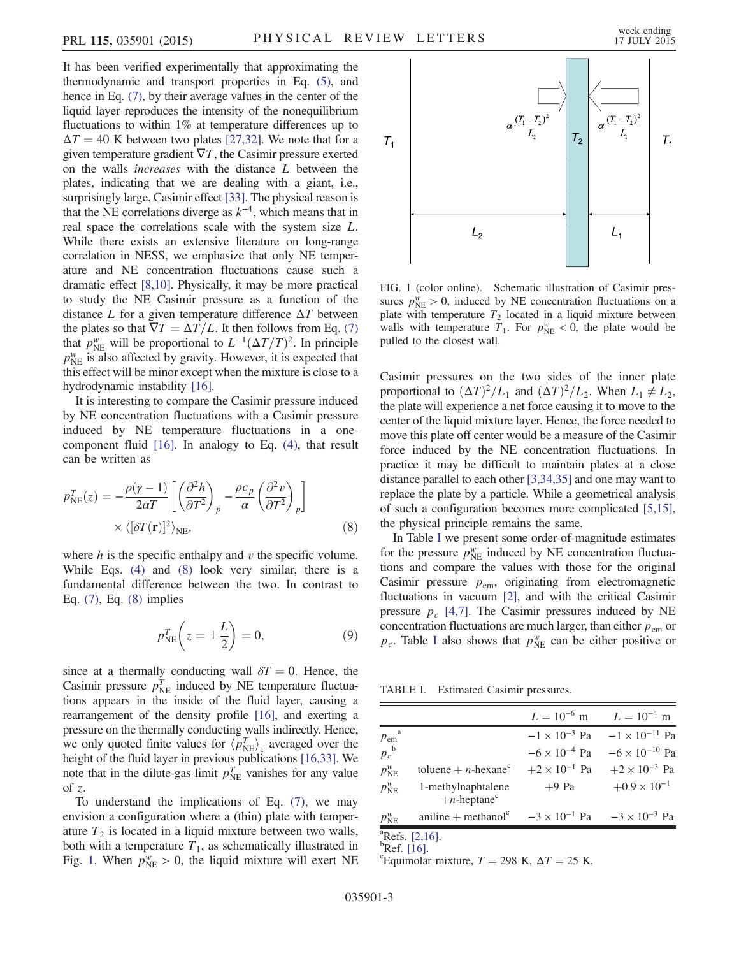It has been verified experimentally that approximating the thermodynamic and transport properties in Eq. [\(5\),](#page-1-2) and hence in Eq.  $(7)$ , by their average values in the center of the liquid layer reproduces the intensity of the nonequilibrium fluctuations to within 1% at temperature differences up to  $\Delta T = 40$  K between two plates [\[27,32\]](#page-3-12). We note that for a given temperature gradient  $\nabla T$ , the Casimir pressure exerted on the walls increases with the distance L between the plates, indicating that we are dealing with a giant, i.e., surprisingly large, Casimir effect [\[33\].](#page-3-16) The physical reason is that the NE correlations diverge as  $k^{-4}$ , which means that in real space the correlations scale with the system size L. While there exists an extensive literature on long-range correlation in NESS, we emphasize that only NE temperature and NE concentration fluctuations cause such a dramatic effect [\[8,10\]](#page-3-4). Physically, it may be more practical to study the NE Casimir pressure as a function of the distance L for a given temperature difference  $\Delta T$  between the plates so that  $\nabla T = \Delta T/L$ . It then follows from Eq. [\(7\)](#page-1-4) that  $p_{NE}^w$  will be proportional to  $L^{-1}(\Delta T/T)^2$ . In principle  $p^w$  is also affected by gravity. However, it is expected that  $p_{NE}^w$  is also affected by gravity. However, it is expected that this effect will be minor except when the mixture is close to a hydrodynamic instability [\[16\]](#page-3-7).

It is interesting to compare the Casimir pressure induced by NE concentration fluctuations with a Casimir pressure induced by NE temperature fluctuations in a onecomponent fluid [\[16\].](#page-3-7) In analogy to Eq. [\(4\),](#page-1-3) that result can be written as

<span id="page-2-0"></span>
$$
p_{\text{NE}}^T(z) = -\frac{\rho(\gamma - 1)}{2\alpha T} \left[ \left( \frac{\partial^2 h}{\partial T^2} \right)_p - \frac{\rho c_p}{\alpha} \left( \frac{\partial^2 v}{\partial T^2} \right)_p \right] \times \langle [\delta T(\mathbf{r})]^2 \rangle_{\text{NE}}, \tag{8}
$$

where  $h$  is the specific enthalpy and  $v$  the specific volume. While Eqs. [\(4\)](#page-1-3) and [\(8\)](#page-2-0) look very similar, there is a fundamental difference between the two. In contrast to Eq. [\(7\),](#page-1-4) Eq. [\(8\)](#page-2-0) implies

$$
p_{\text{NE}}^T \left( z = \pm \frac{L}{2} \right) = 0,\tag{9}
$$

since at a thermally conducting wall  $\delta T = 0$ . Hence, the Casimir pressure  $p_{\text{NE}}^T$  induced by NE temperature fluctuations appears in the inside of the fluid layer, causing a rearrangement of the density profile [\[16\],](#page-3-7) and exerting a pressure on the thermally conducting walls indirectly. Hence, we only quoted finite values for  $\langle p_{NE}^T \rangle_z$  averaged over the height of the fluid layer in previous publications [16.33]. We height of the fluid layer in previous publications [\[16,33\]](#page-3-7). We note that in the dilute-gas limit  $p_{NE}^T$  vanishes for any value of  $z$ .

To understand the implications of Eq. [\(7\),](#page-1-4) we may envision a configuration where a (thin) plate with temperature  $T_2$  is located in a liquid mixture between two walls, both with a temperature  $T_1$ , as schematically illustrated in Fig. [1](#page-2-1). When  $p_{NE}^w > 0$ , the liquid mixture will exert NE

<span id="page-2-1"></span>

FIG. 1 (color online). Schematic illustration of Casimir pressures  $p_{NE}^w > 0$ , induced by NE concentration fluctuations on a plate with temperature  $T_2$  located in a liquid mixture between walls with temperature  $T_1$ . For  $p_{NE}^w < 0$ , the plate would be pulled to the closest wall.

Casimir pressures on the two sides of the inner plate proportional to  $(\Delta T)^2/L_1$  and  $(\Delta T)^2/L_2$ . When  $L_1 \neq L_2$ , the plate will experience a net force causing it to move to the center of the liquid mixture layer. Hence, the force needed to move this plate off center would be a measure of the Casimir force induced by the NE concentration fluctuations. In practice it may be difficult to maintain plates at a close distance parallel to each other [\[3,34,35\]](#page-3-17) and one may want to replace the plate by a particle. While a geometrical analysis of such a configuration becomes more complicated [\[5,15\]](#page-3-18), the physical principle remains the same.

In Table [I](#page-2-2) we present some order-of-magnitude estimates for the pressure  $p_{NE}^w$  induced by NE concentration fluctuations and compare the values with those for the original Casimir pressure  $p_{\text{em}}$ , originating from electromagnetic fluctuations in vacuum [\[2\]](#page-3-2), and with the critical Casimir pressure  $p_c$  [\[4,7\].](#page-3-3) The Casimir pressures induced by NE concentration fluctuations are much larger, than either  $p_{em}$  or  $p_c$ . Table [I](#page-2-2) also shows that  $p_{NE}^w$  can be either positive or

<span id="page-2-2"></span>TABLE I. Estimated Casimir pressures.

|                            |                                                  | $L = 10^{-6}$ m        | $L = 10^{-4}$ m                                |
|----------------------------|--------------------------------------------------|------------------------|------------------------------------------------|
| $p_{\text{em}}^{\text{a}}$ |                                                  |                        | $-1 \times 10^{-3}$ Pa $-1 \times 10^{-11}$ Pa |
| $p_c^{\ b}$                |                                                  | $-6 \times 10^{-4}$ Pa | $-6 \times 10^{-10}$ Pa                        |
| $p_{\text{NE}}^w$          | toluene + $n$ -hexane <sup>c</sup>               | $+2 \times 10^{-1}$ Pa | $+2 \times 10^{-3}$ Pa                         |
| $p_{\text{NE}}^w$          | 1-methylnaphtalene<br>$+n$ -heptane <sup>c</sup> | $+9$ Pa                | $+0.9 \times 10^{-1}$                          |
| $p_{\text{NE}}^w$          | $\text{aniline} + \text{methanol}^c$             |                        | $-3 \times 10^{-1}$ Pa $-3 \times 10^{-3}$ Pa  |
| $2\pi$ $\alpha$            |                                                  |                        |                                                |

 ${}^{a}$ Refs. [\[2,16\].](#page-3-2)

 ${}^{\text{b}}$ Ref. [\[16\]](#page-3-7).

Equimolar mixture,  $T = 298$  K,  $\Delta T = 25$  K.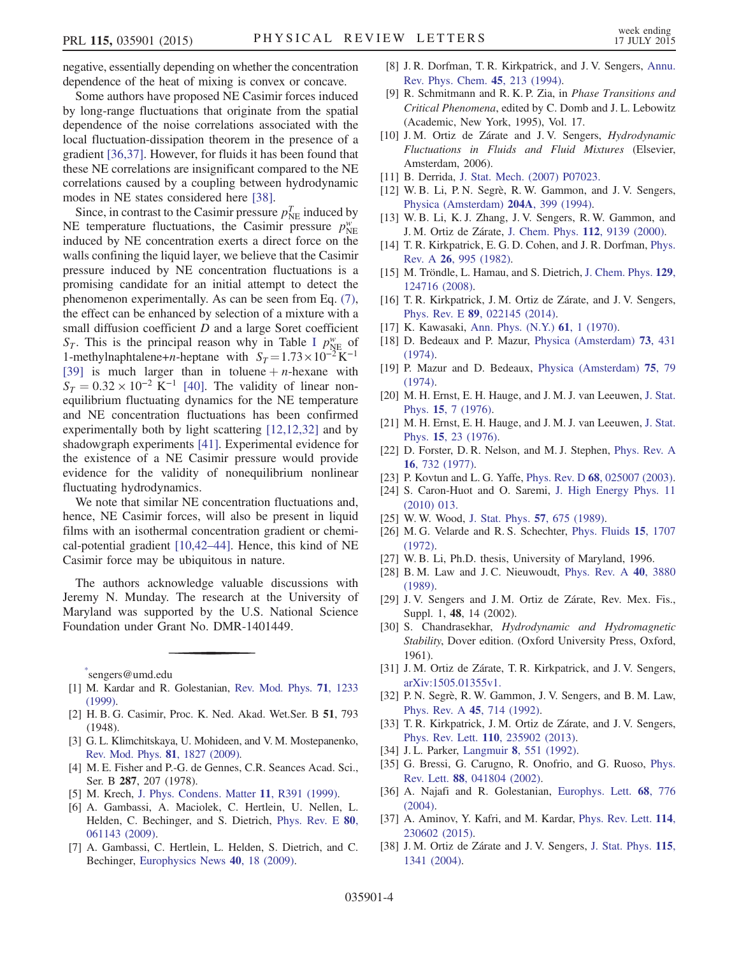negative, essentially depending on whether the concentration dependence of the heat of mixing is convex or concave.

Some authors have proposed NE Casimir forces induced by long-range fluctuations that originate from the spatial dependence of the noise correlations associated with the local fluctuation-dissipation theorem in the presence of a gradient [\[36,37\].](#page-3-19) However, for fluids it has been found that these NE correlations are insignificant compared to the NE correlations caused by a coupling between hydrodynamic modes in NE states considered here [\[38\]](#page-3-20).

Since, in contrast to the Casimir pressure  $p_{NE}^T$  induced by NE temperature fluctuations, the Casimir pressure  $p_{NE}^{\psi}$ induced by NE concentration exerts a direct force on the walls confining the liquid layer, we believe that the Casimir pressure induced by NE concentration fluctuations is a promising candidate for an initial attempt to detect the phenomenon experimentally. As can be seen from Eq. [\(7\)](#page-1-4), the effect can be enhanced by selection of a mixture with a small diffusion coefficient D and a large Soret coefficient  $S_T$ . This is the principal reason why in Table [I](#page-2-2)  $p_{NE}^w$  of 1-methylnaphtalene+n-heptane with  $S_T = 1.73 \times 10^{-2} \text{ K}^{-1}$ [\[39\]](#page-4-0) is much larger than in toluene  $+n$ -hexane with  $S_T = 0.32 \times 10^{-2} \text{ K}^{-1}$  [\[40\]](#page-4-1). The validity of linear nonequilibrium fluctuating dynamics for the NE temperature and NE concentration fluctuations has been confirmed experimentally both by light scattering [\[12,12,32\]](#page-3-5) and by shadowgraph experiments [\[41\]](#page-4-2). Experimental evidence for the existence of a NE Casimir pressure would provide evidence for the validity of nonequilibrium nonlinear fluctuating hydrodynamics.

We note that similar NE concentration fluctuations and, hence, NE Casimir forces, will also be present in liquid films with an isothermal concentration gradient or chemical-potential gradient [\[10,42](#page-3-9)–44]. Hence, this kind of NE Casimir force may be ubiquitous in nature.

The authors acknowledge valuable discussions with Jeremy N. Munday. The research at the University of Maryland was supported by the U.S. National Science Foundation under Grant No. DMR-1401449.

<span id="page-3-0"></span>[\\*](#page-0-1) sengers@umd.edu

- <span id="page-3-1"></span>[1] M. Kardar and R. Golestanian, [Rev. Mod. Phys.](http://dx.doi.org/10.1103/RevModPhys.71.1233) **71**, 1233 [\(1999\).](http://dx.doi.org/10.1103/RevModPhys.71.1233)
- <span id="page-3-2"></span>[2] H. B. G. Casimir, Proc. K. Ned. Akad. Wet.Ser. B 51, 793 (1948).
- <span id="page-3-17"></span>[3] G. L. Klimchitskaya, U. Mohideen, and V. M. Mostepanenko, [Rev. Mod. Phys.](http://dx.doi.org/10.1103/RevModPhys.81.1827) 81, 1827 (2009).
- <span id="page-3-3"></span>[4] M. E. Fisher and P.-G. de Gennes, C.R. Seances Acad. Sci., Ser. B 287, 207 (1978).
- <span id="page-3-18"></span>[5] M. Krech, [J. Phys. Condens. Matter](http://dx.doi.org/10.1088/0953-8984/11/37/201) 11, R391 (1999).
- [6] A. Gambassi, A. Maciolek, C. Hertlein, U. Nellen, L. Helden, C. Bechinger, and S. Dietrich, [Phys. Rev. E](http://dx.doi.org/10.1103/PhysRevE.80.061143) 80, [061143 \(2009\).](http://dx.doi.org/10.1103/PhysRevE.80.061143)
- [7] A. Gambassi, C. Hertlein, L. Helden, S. Dietrich, and C. Bechinger, [Europhysics News](http://dx.doi.org/10.1051/epn/2009301) 40, 18 (2009).
- <span id="page-3-4"></span>[8] J. R. Dorfman, T. R. Kirkpatrick, and J. V. Sengers, [Annu.](http://dx.doi.org/10.1146/annurev.pc.45.100194.001241) [Rev. Phys. Chem.](http://dx.doi.org/10.1146/annurev.pc.45.100194.001241) 45, 213 (1994).
- [9] R. Schmitmann and R. K. P. Zia, in Phase Transitions and Critical Phenomena, edited by C. Domb and J. L. Lebowitz (Academic, New York, 1995), Vol. 17.
- <span id="page-3-9"></span>[10] J. M. Ortiz de Zárate and J. V. Sengers, *Hydrodynamic* Fluctuations in Fluids and Fluid Mixtures (Elsevier, Amsterdam, 2006).
- <span id="page-3-5"></span>[11] B. Derrida, [J. Stat. Mech. \(2007\) P07023.](http://dx.doi.org/10.1088/1742-5468/2007/07/P07023)
- [12] W. B. Li, P. N. Segrè, R. W. Gammon, and J. V. Sengers, [Physica \(Amsterdam\)](http://dx.doi.org/10.1016/0378-4371(94)90440-5) 204A, 399 (1994).
- [13] W. B. Li, K. J. Zhang, J. V. Sengers, R. W. Gammon, and J. M. Ortiz de Zárate, [J. Chem. Phys.](http://dx.doi.org/10.1063/1.481524) 112, 9139 (2000).
- [14] T. R. Kirkpatrick, E. G. D. Cohen, and J. R. Dorfman, [Phys.](http://dx.doi.org/10.1103/PhysRevA.26.995) Rev. A 26[, 995 \(1982\)](http://dx.doi.org/10.1103/PhysRevA.26.995).
- <span id="page-3-6"></span>[15] M. Tröndle, L. Hamau, and S. Dietrich, [J. Chem. Phys.](http://dx.doi.org/10.1063/1.2977999) 129, [124716 \(2008\).](http://dx.doi.org/10.1063/1.2977999)
- <span id="page-3-8"></span><span id="page-3-7"></span>[16] T. R. Kirkpatrick, J. M. Ortiz de Zárate, and J. V. Sengers, Phys. Rev. E 89[, 022145 \(2014\)](http://dx.doi.org/10.1103/PhysRevE.89.022145).
- [17] K. Kawasaki, [Ann. Phys. \(N.Y.\)](http://dx.doi.org/10.1016/0003-4916(70)90375-1) **61**, 1 (1970).
- [18] D. Bedeaux and P. Mazur, [Physica \(Amsterdam\)](http://dx.doi.org/10.1016/0031-8914(74)90104-9) 73, 431 [\(1974\).](http://dx.doi.org/10.1016/0031-8914(74)90104-9)
- [19] P. Mazur and D. Bedeaux, [Physica \(Amsterdam\)](http://dx.doi.org/10.1016/0031-8914(74)90293-6) 75, 79 [\(1974\).](http://dx.doi.org/10.1016/0031-8914(74)90293-6)
- [20] M. H. Ernst, E. H. Hauge, and J. M. J. van Leeuwen, [J. Stat.](http://dx.doi.org/10.1007/BF01012807) Phys. 15[, 7 \(1976\)](http://dx.doi.org/10.1007/BF01012807).
- [21] M. H. Ernst, E. H. Hauge, and J. M. J. van Leeuwen, [J. Stat.](http://dx.doi.org/10.1007/BF01012808) Phys. 15[, 23 \(1976\)](http://dx.doi.org/10.1007/BF01012808).
- [22] D. Forster, D. R. Nelson, and M. J. Stephen, [Phys. Rev. A](http://dx.doi.org/10.1103/PhysRevA.16.732) 16[, 732 \(1977\).](http://dx.doi.org/10.1103/PhysRevA.16.732)
- [23] P. Kovtun and L. G. Yaffe, Phys. Rev. D 68[, 025007 \(2003\).](http://dx.doi.org/10.1103/PhysRevD.68.025007)
- <span id="page-3-11"></span>[24] S. Caron-Huot and O. Saremi, [J. High Energy Phys. 11](http://dx.doi.org/10.1007/JHEP11(2010)013) [\(2010\) 013.](http://dx.doi.org/10.1007/JHEP11(2010)013)
- <span id="page-3-10"></span>[25] W. W. Wood, [J. Stat. Phys.](http://dx.doi.org/10.1007/BF01022828) **57**, 675 (1989).
- <span id="page-3-12"></span>[26] M. G. Velarde and R. S. Schechter, [Phys. Fluids](http://dx.doi.org/10.1063/1.1693766) 15, 1707 [\(1972\).](http://dx.doi.org/10.1063/1.1693766)
- [27] W. B. Li, Ph.D. thesis, University of Maryland, 1996.
- <span id="page-3-13"></span>[28] B. M. Law and J. C. Nieuwoudt, [Phys. Rev. A](http://dx.doi.org/10.1103/PhysRevA.40.3880) 40, 3880 [\(1989\).](http://dx.doi.org/10.1103/PhysRevA.40.3880)
- <span id="page-3-14"></span>[29] J.V. Sengers and J.M. Ortiz de Zárate, Rev. Mex. Fis., Suppl. 1, 48, 14 (2002).
- <span id="page-3-15"></span>[30] S. Chandrasekhar, Hydrodynamic and Hydromagnetic Stability, Dover edition. (Oxford University Press, Oxford, 1961).
- [31] J. M. Ortiz de Zárate, T. R. Kirkpatrick, and J. V. Sengers, [arXiv:1505.01355v1.](http://arXiv.org/abs/1505.01355v1)
- <span id="page-3-16"></span>[32] P. N. Segrè, R. W. Gammon, J. V. Sengers, and B. M. Law, [Phys. Rev. A](http://dx.doi.org/10.1103/PhysRevA.45.714) 45, 714 (1992).
- [33] T. R. Kirkpatrick, J. M. Ortiz de Zárate, and J. V. Sengers, Phys. Rev. Lett. 110[, 235902 \(2013\).](http://dx.doi.org/10.1103/PhysRevLett.110.235902)
- [34] J.L. Parker, Langmuir 8[, 551 \(1992\).](http://dx.doi.org/10.1021/la00038a040)
- <span id="page-3-19"></span>[35] G. Bressi, G. Carugno, R. Onofrio, and G. Ruoso, [Phys.](http://dx.doi.org/10.1103/PhysRevLett.88.041804) Rev. Lett. 88[, 041804 \(2002\).](http://dx.doi.org/10.1103/PhysRevLett.88.041804)
- [36] A. Najafi and R. Golestanian, [Europhys. Lett.](http://dx.doi.org/10.1209/epl/i2004-10275-5) 68, 776 [\(2004\).](http://dx.doi.org/10.1209/epl/i2004-10275-5)
- <span id="page-3-20"></span>[37] A. Aminov, Y. Kafri, and M. Kardar, *[Phys. Rev. Lett.](http://dx.doi.org/10.1103/PhysRevLett.114.230602)* **114**, [230602 \(2015\).](http://dx.doi.org/10.1103/PhysRevLett.114.230602)
- [38] J. M. Ortiz de Zárate and J. V. Sengers, [J. Stat. Phys.](http://dx.doi.org/10.1023/B:JOSS.0000028062.57459.52) 115, [1341 \(2004\)](http://dx.doi.org/10.1023/B:JOSS.0000028062.57459.52).